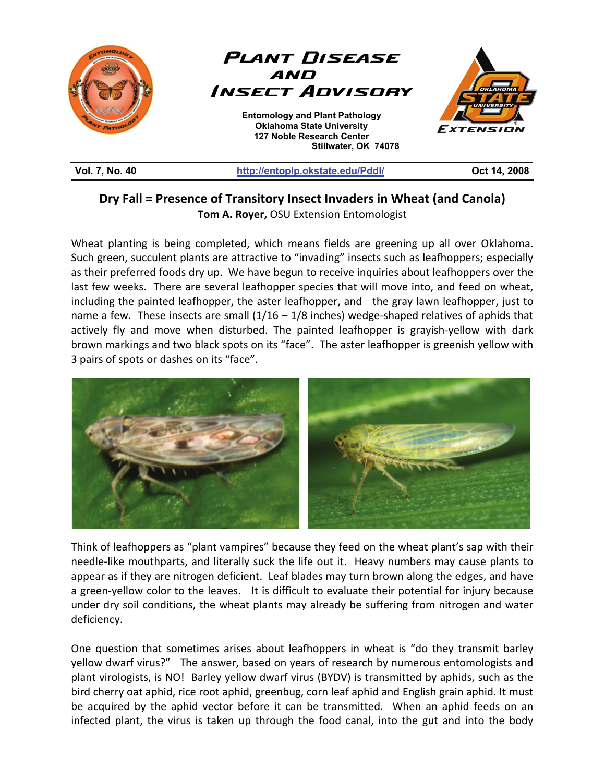

| <b>Vol. 7, No. 40</b> |  |  |
|-----------------------|--|--|
|                       |  |  |

## http://entoplp.okstate.edu/Pddl/ **Oct 14, 2008**

## **Dry Fall = Presence of Transitory Insect Invaders in Wheat (and Canola) Tom A. Royer,** OSU Extension Entomologist

Wheat planting is being completed, which means fields are greening up all over Oklahoma. Such green, succulent plants are attractive to "invading" insects such as leafhoppers; especially as their preferred foods dry up. We have begun to receive inquiries about leafhoppers over the last few weeks. There are several leafhopper species that will move into, and feed on wheat, including the painted leafhopper, the aster leafhopper, and the gray lawn leafhopper, just to name a few. These insects are small  $(1/16 - 1/8$  inches) wedge-shaped relatives of aphids that actively fly and move when disturbed. The painted leafhopper is grayish-yellow with dark brown markings and two black spots on its "face". The aster leafhopper is greenish yellow with 3 pairs of spots or dashes on its "face".



Think of leafhoppers as "plant vampires" because they feed on the wheat plant's sap with their needle-like mouthparts, and literally suck the life out it. Heavy numbers may cause plants to appear as if they are nitrogen deficient. Leaf blades may turn brown along the edges, and have a green-yellow color to the leaves. It is difficult to evaluate their potential for injury because under dry soil conditions, the wheat plants may already be suffering from nitrogen and water deficiency.

One question that sometimes arises about leafhoppers in wheat is "do they transmit barley yellow dwarf virus?" The answer, based on years of research by numerous entomologists and plant virologists, is NO! Barley yellow dwarf virus (BYDV) is transmitted by aphids, such as the bird cherry oat aphid, rice root aphid, greenbug, corn leaf aphid and English grain aphid. It must be acquired by the aphid vector before it can be transmitted. When an aphid feeds on an infected plant, the virus is taken up through the food canal, into the gut and into the body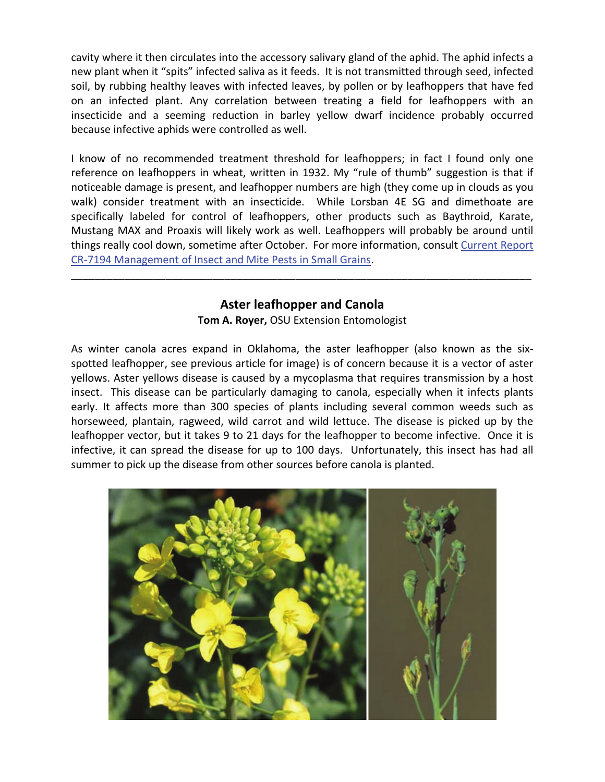cavity where it then circulates into the accessory salivary gland of the aphid. The aphid infects a new plant when it "spits" infected saliva as it feeds. It is not transmitted through seed, infected soil, by rubbing healthy leaves with infected leaves, by pollen or by leafhoppers that have fed on an infected plant. Any correlation between treating a field for leafhoppers with an insecticide and a seeming reduction in barley yellow dwarf incidence probably occurred because infective aphids were controlled as well.

I know of no recommended treatment threshold for leafhoppers; in fact I found only one reference on leafhoppers in wheat, written in 1932. My "rule of thumb" suggestion is that if noticeable damage is present, and leafhopper numbers are high (they come up in clouds as you walk) consider treatment with an insecticide. While Lorsban 4E SG and dimethoate are specifically labeled for control of leafhoppers, other products such as Baythroid, Karate, Mustang MAX and Proaxis will likely work as well. Leafhoppers will probably be around until things really cool down, sometime after October. For more information, consult Current Report CR-7194 Management of Insect and Mite Pests in Small Grains.

## **Aster leafhopper and Canola**

\_\_\_\_\_\_\_\_\_\_\_\_\_\_\_\_\_\_\_\_\_\_\_\_\_\_\_\_\_\_\_\_\_\_\_\_\_\_\_\_\_\_\_\_\_\_\_\_\_\_\_\_\_\_\_\_\_\_\_\_\_\_\_\_\_\_\_\_\_\_\_\_\_\_\_\_\_\_

**Tom A. Royer,** OSU Extension Entomologist

As winter canola acres expand in Oklahoma, the aster leafhopper (also known as the sixspotted leafhopper, see previous article for image) is of concern because it is a vector of aster yellows. Aster yellows disease is caused by a mycoplasma that requires transmission by a host insect. This disease can be particularly damaging to canola, especially when it infects plants early. It affects more than 300 species of plants including several common weeds such as horseweed, plantain, ragweed, wild carrot and wild lettuce. The disease is picked up by the leafhopper vector, but it takes 9 to 21 days for the leafhopper to become infective. Once it is infective, it can spread the disease for up to 100 days. Unfortunately, this insect has had all summer to pick up the disease from other sources before canola is planted.